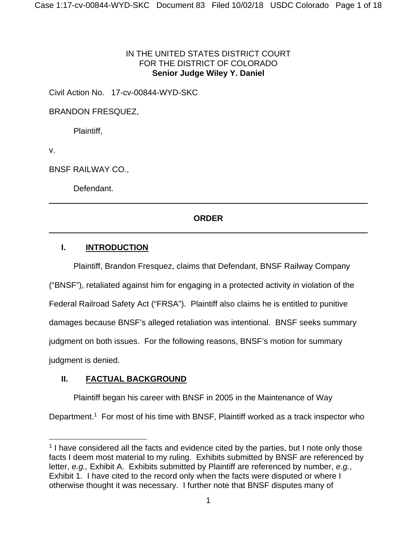### IN THE UNITED STATES DISTRICT COURT FOR THE DISTRICT OF COLORADO **Senior Judge Wiley Y. Daniel**

Civil Action No. 17-cv-00844-WYD-SKC

BRANDON FRESQUEZ,

Plaintiff,

v.

BNSF RAILWAY CO.,

Defendant.

## **ORDER**

## **I. INTRODUCTION**

Plaintiff, Brandon Fresquez, claims that Defendant, BNSF Railway Company

("BNSF"), retaliated against him for engaging in a protected activity in violation of the

Federal Railroad Safety Act ("FRSA"). Plaintiff also claims he is entitled to punitive

damages because BNSF's alleged retaliation was intentional. BNSF seeks summary

judgment on both issues. For the following reasons, BNSF's motion for summary

judgment is denied.

## **II. FACTUAL BACKGROUND**

Plaintiff began his career with BNSF in 2005 in the Maintenance of Way

Department.<sup>1</sup> For most of his time with BNSF, Plaintiff worked as a track inspector who

 $1$  I have considered all the facts and evidence cited by the parties, but I note only those facts I deem most material to my ruling. Exhibits submitted by BNSF are referenced by letter, *e.g.,* Exhibit A. Exhibits submitted by Plaintiff are referenced by number, *e.g.*, Exhibit 1. I have cited to the record only when the facts were disputed or where I otherwise thought it was necessary. I further note that BNSF disputes many of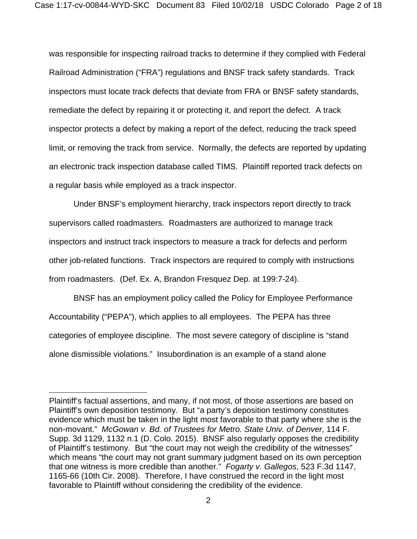was responsible for inspecting railroad tracks to determine if they complied with Federal Railroad Administration ("FRA") regulations and BNSF track safety standards. Track inspectors must locate track defects that deviate from FRA or BNSF safety standards, remediate the defect by repairing it or protecting it, and report the defect. A track inspector protects a defect by making a report of the defect, reducing the track speed limit, or removing the track from service. Normally, the defects are reported by updating an electronic track inspection database called TIMS. Plaintiff reported track defects on a regular basis while employed as a track inspector.

Under BNSF's employment hierarchy, track inspectors report directly to track supervisors called roadmasters. Roadmasters are authorized to manage track inspectors and instruct track inspectors to measure a track for defects and perform other job-related functions. Track inspectors are required to comply with instructions from roadmasters. (Def. Ex. A, Brandon Fresquez Dep. at 199:7-24).

BNSF has an employment policy called the Policy for Employee Performance Accountability ("PEPA"), which applies to all employees. The PEPA has three categories of employee discipline. The most severe category of discipline is "stand alone dismissible violations." Insubordination is an example of a stand alone

Plaintiff's factual assertions, and many, if not most, of those assertions are based on Plaintiff's own deposition testimony. But "a party's deposition testimony constitutes evidence which must be taken in the light most favorable to that party where she is the non-movant." *McGowan v. Bd. of Trustees for Metro. State Univ. of Denver*, 114 F. Supp. 3d 1129, 1132 n.1 (D. Colo. 2015). BNSF also regularly opposes the credibility of Plaintiff's testimony. But "the court may not weigh the credibility of the witnesses" which means "the court may not grant summary judgment based on its own perception that one witness is more credible than another." *Fogarty v. Gallegos*, 523 F.3d 1147, 1165-66 (10th Cir. 2008). Therefore, I have construed the record in the light most favorable to Plaintiff without considering the credibility of the evidence.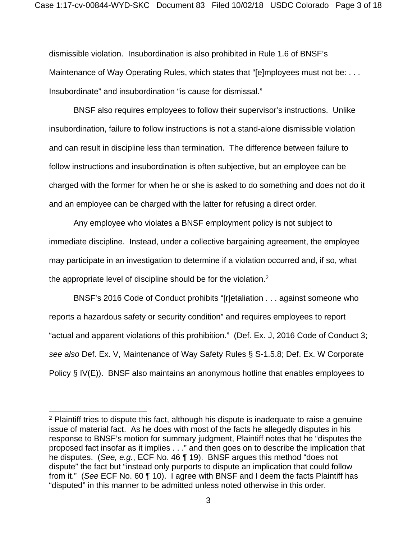dismissible violation. Insubordination is also prohibited in Rule 1.6 of BNSF's Maintenance of Way Operating Rules, which states that "[e]mployees must not be: . . . Insubordinate" and insubordination "is cause for dismissal."

BNSF also requires employees to follow their supervisor's instructions. Unlike insubordination, failure to follow instructions is not a stand-alone dismissible violation and can result in discipline less than termination. The difference between failure to follow instructions and insubordination is often subjective, but an employee can be charged with the former for when he or she is asked to do something and does not do it and an employee can be charged with the latter for refusing a direct order.

Any employee who violates a BNSF employment policy is not subject to immediate discipline. Instead, under a collective bargaining agreement, the employee may participate in an investigation to determine if a violation occurred and, if so, what the appropriate level of discipline should be for the violation.<sup>2</sup>

BNSF's 2016 Code of Conduct prohibits "[r]etaliation . . . against someone who reports a hazardous safety or security condition" and requires employees to report "actual and apparent violations of this prohibition." (Def. Ex. J, 2016 Code of Conduct 3; *see also* Def. Ex. V, Maintenance of Way Safety Rules § S-1.5.8; Def. Ex. W Corporate Policy § IV(E)). BNSF also maintains an anonymous hotline that enables employees to

 $2$  Plaintiff tries to dispute this fact, although his dispute is inadequate to raise a genuine issue of material fact. As he does with most of the facts he allegedly disputes in his response to BNSF's motion for summary judgment, Plaintiff notes that he "disputes the proposed fact insofar as it implies . . ." and then goes on to describe the implication that he disputes. (*See, e.g.*, ECF No. 46 ¶ 19). BNSF argues this method "does not dispute" the fact but "instead only purports to dispute an implication that could follow from it." (*See* ECF No. 60 ¶ 10). I agree with BNSF and I deem the facts Plaintiff has "disputed" in this manner to be admitted unless noted otherwise in this order.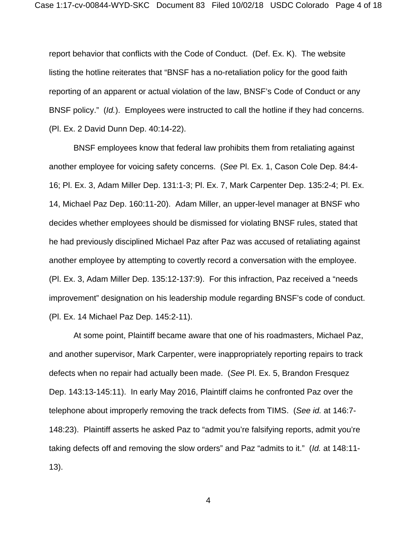report behavior that conflicts with the Code of Conduct. (Def. Ex. K). The website listing the hotline reiterates that "BNSF has a no-retaliation policy for the good faith reporting of an apparent or actual violation of the law, BNSF's Code of Conduct or any BNSF policy." (*Id.*). Employees were instructed to call the hotline if they had concerns. (Pl. Ex. 2 David Dunn Dep. 40:14-22).

BNSF employees know that federal law prohibits them from retaliating against another employee for voicing safety concerns. (*See* Pl. Ex. 1, Cason Cole Dep. 84:4- 16; Pl. Ex. 3, Adam Miller Dep. 131:1-3; Pl. Ex. 7, Mark Carpenter Dep. 135:2-4; Pl. Ex. 14, Michael Paz Dep. 160:11-20). Adam Miller, an upper-level manager at BNSF who decides whether employees should be dismissed for violating BNSF rules, stated that he had previously disciplined Michael Paz after Paz was accused of retaliating against another employee by attempting to covertly record a conversation with the employee. (Pl. Ex. 3, Adam Miller Dep. 135:12-137:9). For this infraction, Paz received a "needs improvement" designation on his leadership module regarding BNSF's code of conduct. (Pl. Ex. 14 Michael Paz Dep. 145:2-11).

At some point, Plaintiff became aware that one of his roadmasters, Michael Paz, and another supervisor, Mark Carpenter, were inappropriately reporting repairs to track defects when no repair had actually been made. (*See* Pl. Ex. 5, Brandon Fresquez Dep. 143:13-145:11). In early May 2016, Plaintiff claims he confronted Paz over the telephone about improperly removing the track defects from TIMS. (*See id.* at 146:7- 148:23). Plaintiff asserts he asked Paz to "admit you're falsifying reports, admit you're taking defects off and removing the slow orders" and Paz "admits to it." (*Id.* at 148:11- 13).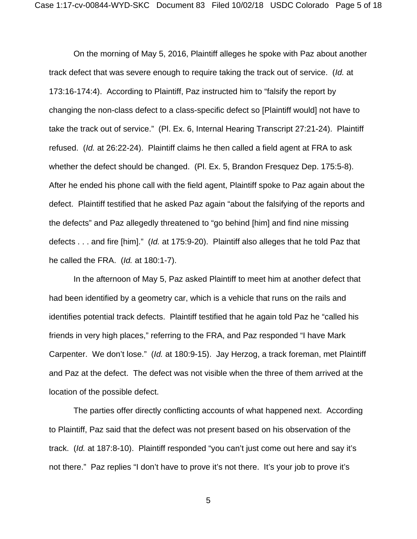On the morning of May 5, 2016, Plaintiff alleges he spoke with Paz about another track defect that was severe enough to require taking the track out of service. (*Id.* at 173:16-174:4). According to Plaintiff, Paz instructed him to "falsify the report by changing the non-class defect to a class-specific defect so [Plaintiff would] not have to take the track out of service." (Pl. Ex. 6, Internal Hearing Transcript 27:21-24). Plaintiff refused. (*Id.* at 26:22-24). Plaintiff claims he then called a field agent at FRA to ask whether the defect should be changed. (Pl. Ex. 5, Brandon Fresquez Dep. 175:5-8). After he ended his phone call with the field agent, Plaintiff spoke to Paz again about the defect. Plaintiff testified that he asked Paz again "about the falsifying of the reports and the defects" and Paz allegedly threatened to "go behind [him] and find nine missing defects . . . and fire [him]." (*Id.* at 175:9-20). Plaintiff also alleges that he told Paz that he called the FRA. (*Id.* at 180:1-7).

In the afternoon of May 5, Paz asked Plaintiff to meet him at another defect that had been identified by a geometry car, which is a vehicle that runs on the rails and identifies potential track defects. Plaintiff testified that he again told Paz he "called his friends in very high places," referring to the FRA, and Paz responded "I have Mark Carpenter. We don't lose." (*Id.* at 180:9-15). Jay Herzog, a track foreman, met Plaintiff and Paz at the defect. The defect was not visible when the three of them arrived at the location of the possible defect.

The parties offer directly conflicting accounts of what happened next. According to Plaintiff, Paz said that the defect was not present based on his observation of the track. (*Id.* at 187:8-10). Plaintiff responded "you can't just come out here and say it's not there." Paz replies "I don't have to prove it's not there. It's your job to prove it's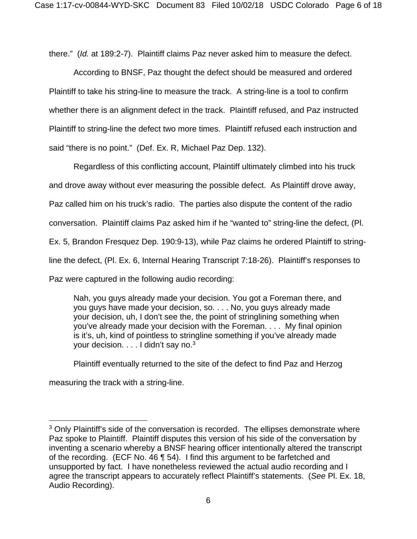there." (*Id.* at 189:2-7). Plaintiff claims Paz never asked him to measure the defect.

According to BNSF, Paz thought the defect should be measured and ordered Plaintiff to take his string-line to measure the track. A string-line is a tool to confirm whether there is an alignment defect in the track. Plaintiff refused, and Paz instructed Plaintiff to string-line the defect two more times. Plaintiff refused each instruction and said "there is no point." (Def. Ex. R, Michael Paz Dep. 132).

Regardless of this conflicting account, Plaintiff ultimately climbed into his truck and drove away without ever measuring the possible defect. As Plaintiff drove away, Paz called him on his truck's radio. The parties also dispute the content of the radio conversation. Plaintiff claims Paz asked him if he "wanted to" string-line the defect, (Pl. Ex. 5, Brandon Fresquez Dep. 190:9-13), while Paz claims he ordered Plaintiff to stringline the defect, (Pl. Ex. 6, Internal Hearing Transcript 7:18-26). Plaintiff's responses to Paz were captured in the following audio recording:

Nah, you guys already made your decision. You got a Foreman there, and you guys have made your decision, so. . . . No, you guys already made your decision, uh, I don't see the, the point of stringlining something when you've already made your decision with the Foreman. . . . My final opinion is it's, uh, kind of pointless to stringline something if you've already made your decision. . . . I didn't say no.<sup>3</sup>

Plaintiff eventually returned to the site of the defect to find Paz and Herzog

measuring the track with a string-line.

<sup>&</sup>lt;sup>3</sup> Only Plaintiff's side of the conversation is recorded. The ellipses demonstrate where Paz spoke to Plaintiff. Plaintiff disputes this version of his side of the conversation by inventing a scenario whereby a BNSF hearing officer intentionally altered the transcript of the recording. (ECF No. 46 ¶ 54). I find this argument to be farfetched and unsupported by fact. I have nonetheless reviewed the actual audio recording and I agree the transcript appears to accurately reflect Plaintiff's statements. (*See* Pl. Ex. 18, Audio Recording).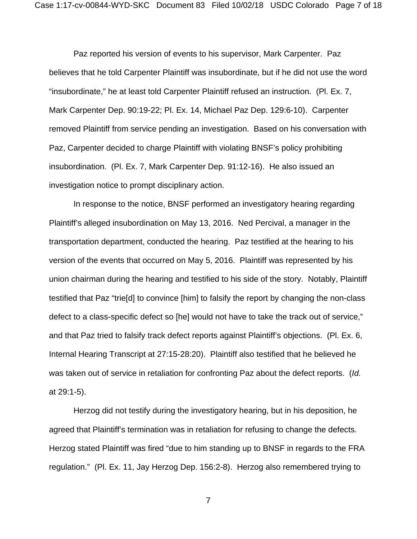Paz reported his version of events to his supervisor, Mark Carpenter. Paz believes that he told Carpenter Plaintiff was insubordinate, but if he did not use the word "insubordinate," he at least told Carpenter Plaintiff refused an instruction. (Pl. Ex. 7, Mark Carpenter Dep. 90:19-22; Pl. Ex. 14, Michael Paz Dep. 129:6-10). Carpenter removed Plaintiff from service pending an investigation. Based on his conversation with Paz, Carpenter decided to charge Plaintiff with violating BNSF's policy prohibiting insubordination. (Pl. Ex. 7, Mark Carpenter Dep. 91:12-16). He also issued an investigation notice to prompt disciplinary action.

In response to the notice, BNSF performed an investigatory hearing regarding Plaintiff's alleged insubordination on May 13, 2016. Ned Percival, a manager in the transportation department, conducted the hearing. Paz testified at the hearing to his version of the events that occurred on May 5, 2016. Plaintiff was represented by his union chairman during the hearing and testified to his side of the story. Notably, Plaintiff testified that Paz "trie[d] to convince [him] to falsify the report by changing the non-class defect to a class-specific defect so [he] would not have to take the track out of service," and that Paz tried to falsify track defect reports against Plaintiff's objections. (Pl. Ex. 6, Internal Hearing Transcript at 27:15-28:20). Plaintiff also testified that he believed he was taken out of service in retaliation for confronting Paz about the defect reports. (*Id.*  at 29:1-5).

Herzog did not testify during the investigatory hearing, but in his deposition, he agreed that Plaintiff's termination was in retaliation for refusing to change the defects. Herzog stated Plaintiff was fired "due to him standing up to BNSF in regards to the FRA regulation." (Pl. Ex. 11, Jay Herzog Dep. 156:2-8). Herzog also remembered trying to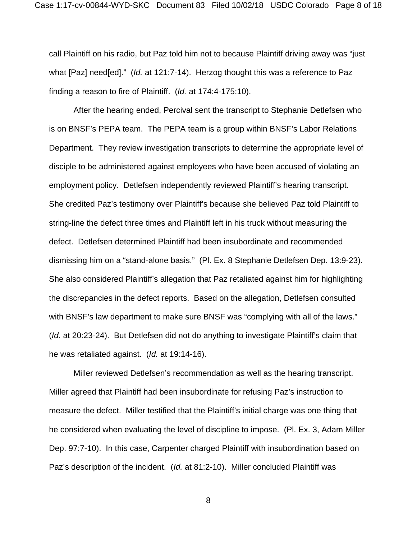call Plaintiff on his radio, but Paz told him not to because Plaintiff driving away was "just what [Paz] need[ed]." (*Id.* at 121:7-14). Herzog thought this was a reference to Paz finding a reason to fire of Plaintiff. (*Id.* at 174:4-175:10).

After the hearing ended, Percival sent the transcript to Stephanie Detlefsen who is on BNSF's PEPA team. The PEPA team is a group within BNSF's Labor Relations Department. They review investigation transcripts to determine the appropriate level of disciple to be administered against employees who have been accused of violating an employment policy. Detlefsen independently reviewed Plaintiff's hearing transcript. She credited Paz's testimony over Plaintiff's because she believed Paz told Plaintiff to string-line the defect three times and Plaintiff left in his truck without measuring the defect. Detlefsen determined Plaintiff had been insubordinate and recommended dismissing him on a "stand-alone basis." (Pl. Ex. 8 Stephanie Detlefsen Dep. 13:9-23). She also considered Plaintiff's allegation that Paz retaliated against him for highlighting the discrepancies in the defect reports. Based on the allegation, Detlefsen consulted with BNSF's law department to make sure BNSF was "complying with all of the laws." (*Id.* at 20:23-24). But Detlefsen did not do anything to investigate Plaintiff's claim that he was retaliated against. (*Id.* at 19:14-16).

Miller reviewed Detlefsen's recommendation as well as the hearing transcript. Miller agreed that Plaintiff had been insubordinate for refusing Paz's instruction to measure the defect. Miller testified that the Plaintiff's initial charge was one thing that he considered when evaluating the level of discipline to impose. (Pl. Ex. 3, Adam Miller Dep. 97:7-10). In this case, Carpenter charged Plaintiff with insubordination based on Paz's description of the incident. (*Id.* at 81:2-10). Miller concluded Plaintiff was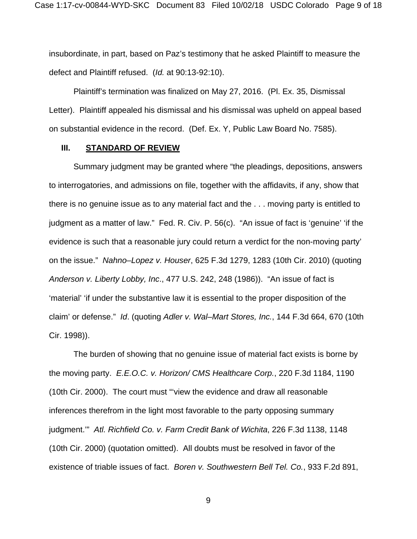insubordinate, in part, based on Paz's testimony that he asked Plaintiff to measure the defect and Plaintiff refused. (*Id.* at 90:13-92:10).

Plaintiff's termination was finalized on May 27, 2016. (Pl. Ex. 35, Dismissal Letter). Plaintiff appealed his dismissal and his dismissal was upheld on appeal based on substantial evidence in the record. (Def. Ex. Y, Public Law Board No. 7585).

### **III. STANDARD OF REVIEW**

Summary judgment may be granted where "the pleadings, depositions, answers to interrogatories, and admissions on file, together with the affidavits, if any, show that there is no genuine issue as to any material fact and the . . . moving party is entitled to judgment as a matter of law." Fed. R. Civ. P. 56(c). "An issue of fact is 'genuine' 'if the evidence is such that a reasonable jury could return a verdict for the non-moving party' on the issue." *Nahno–Lopez v. Houser*, 625 F.3d 1279, 1283 (10th Cir. 2010) (quoting *Anderson v. Liberty Lobby, Inc*., 477 U.S. 242, 248 (1986)). "An issue of fact is 'material' 'if under the substantive law it is essential to the proper disposition of the claim' or defense." *Id*. (quoting *Adler v. Wal–Mart Stores, Inc.*, 144 F.3d 664, 670 (10th Cir. 1998)).

The burden of showing that no genuine issue of material fact exists is borne by the moving party. *E.E.O.C. v. Horizon/ CMS Healthcare Corp.*, 220 F.3d 1184, 1190 (10th Cir. 2000). The court must "'view the evidence and draw all reasonable inferences therefrom in the light most favorable to the party opposing summary judgment.'" *Atl. Richfield Co. v. Farm Credit Bank of Wichita*, 226 F.3d 1138, 1148 (10th Cir. 2000) (quotation omitted). All doubts must be resolved in favor of the existence of triable issues of fact. *Boren v. Southwestern Bell Tel. Co.*, 933 F.2d 891,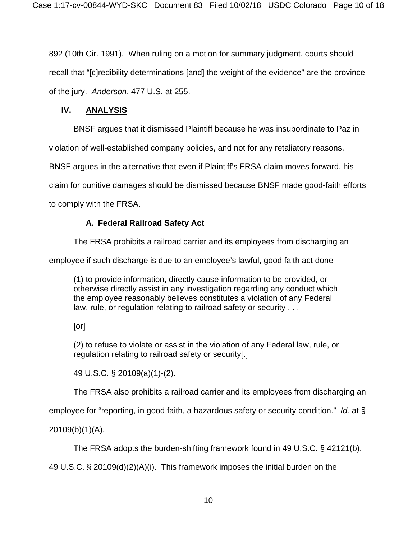892 (10th Cir. 1991). When ruling on a motion for summary judgment, courts should recall that "[c]redibility determinations [and] the weight of the evidence" are the province of the jury. *Anderson*, 477 U.S. at 255.

### **IV. ANALYSIS**

BNSF argues that it dismissed Plaintiff because he was insubordinate to Paz in

violation of well-established company policies, and not for any retaliatory reasons.

BNSF argues in the alternative that even if Plaintiff's FRSA claim moves forward, his

claim for punitive damages should be dismissed because BNSF made good-faith efforts

to comply with the FRSA.

### **A. Federal Railroad Safety Act**

The FRSA prohibits a railroad carrier and its employees from discharging an

employee if such discharge is due to an employee's lawful, good faith act done

(1) to provide information, directly cause information to be provided, or otherwise directly assist in any investigation regarding any conduct which the employee reasonably believes constitutes a violation of any Federal law, rule, or regulation relating to railroad safety or security . . .

[or]

(2) to refuse to violate or assist in the violation of any Federal law, rule, or regulation relating to railroad safety or security[.]

49 U.S.C. § 20109(a)(1)-(2).

The FRSA also prohibits a railroad carrier and its employees from discharging an

employee for "reporting, in good faith, a hazardous safety or security condition." *Id.* at §

20109(b)(1)(A).

The FRSA adopts the burden-shifting framework found in 49 U.S.C. § 42121(b).

49 U.S.C. § 20109(d)(2)(A)(i). This framework imposes the initial burden on the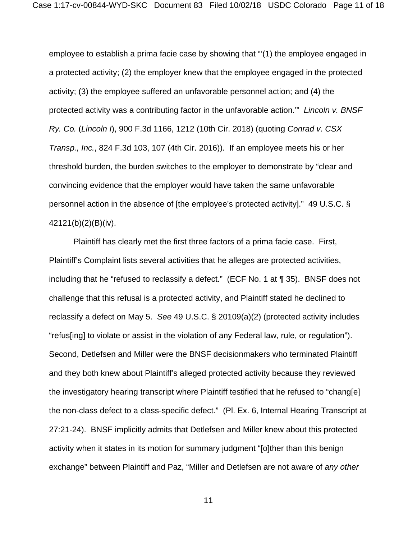employee to establish a prima facie case by showing that "'(1) the employee engaged in a protected activity; (2) the employer knew that the employee engaged in the protected activity; (3) the employee suffered an unfavorable personnel action; and (4) the protected activity was a contributing factor in the unfavorable action.'" *Lincoln v. BNSF Ry. Co.* (*Lincoln I*), 900 F.3d 1166, 1212 (10th Cir. 2018) (quoting *Conrad v. CSX Transp., Inc.*, 824 F.3d 103, 107 (4th Cir. 2016)). If an employee meets his or her threshold burden, the burden switches to the employer to demonstrate by "clear and convincing evidence that the employer would have taken the same unfavorable personnel action in the absence of [the employee's protected activity]." 49 U.S.C. § 42121(b)(2)(B)(iv).

Plaintiff has clearly met the first three factors of a prima facie case. First, Plaintiff's Complaint lists several activities that he alleges are protected activities, including that he "refused to reclassify a defect." (ECF No. 1 at ¶ 35). BNSF does not challenge that this refusal is a protected activity, and Plaintiff stated he declined to reclassify a defect on May 5. *See* 49 U.S.C. § 20109(a)(2) (protected activity includes "refus[ing] to violate or assist in the violation of any Federal law, rule, or regulation"). Second, Detlefsen and Miller were the BNSF decisionmakers who terminated Plaintiff and they both knew about Plaintiff's alleged protected activity because they reviewed the investigatory hearing transcript where Plaintiff testified that he refused to "chang[e] the non-class defect to a class-specific defect." (Pl. Ex. 6, Internal Hearing Transcript at 27:21-24). BNSF implicitly admits that Detlefsen and Miller knew about this protected activity when it states in its motion for summary judgment "[o]ther than this benign exchange" between Plaintiff and Paz, "Miller and Detlefsen are not aware of *any other*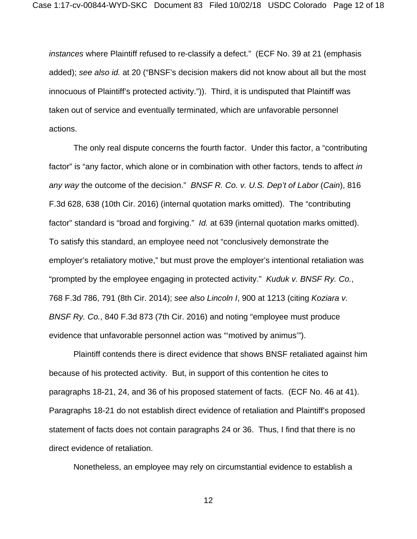*instances* where Plaintiff refused to re-classify a defect." (ECF No. 39 at 21 (emphasis added); *see also id.* at 20 ("BNSF's decision makers did not know about all but the most innocuous of Plaintiff's protected activity.")). Third, it is undisputed that Plaintiff was taken out of service and eventually terminated, which are unfavorable personnel actions.

The only real dispute concerns the fourth factor. Under this factor, a "contributing factor" is "any factor, which alone or in combination with other factors, tends to affect *in any way* the outcome of the decision." *BNSF R. Co. v. U.S. Dep't of Labor* (*Cain*), 816 F.3d 628, 638 (10th Cir. 2016) (internal quotation marks omitted). The "contributing factor" standard is "broad and forgiving." *Id.* at 639 (internal quotation marks omitted). To satisfy this standard, an employee need not "conclusively demonstrate the employer's retaliatory motive," but must prove the employer's intentional retaliation was "prompted by the employee engaging in protected activity." *Kuduk v. BNSF Ry. Co.*, 768 F.3d 786, 791 (8th Cir. 2014); *see also Lincoln I*, 900 at 1213 (citing *Koziara v. BNSF Ry. Co.*, 840 F.3d 873 (7th Cir. 2016) and noting "employee must produce evidence that unfavorable personnel action was "'motived by animus'").

Plaintiff contends there is direct evidence that shows BNSF retaliated against him because of his protected activity. But, in support of this contention he cites to paragraphs 18-21, 24, and 36 of his proposed statement of facts. (ECF No. 46 at 41). Paragraphs 18-21 do not establish direct evidence of retaliation and Plaintiff's proposed statement of facts does not contain paragraphs 24 or 36. Thus, I find that there is no direct evidence of retaliation.

Nonetheless, an employee may rely on circumstantial evidence to establish a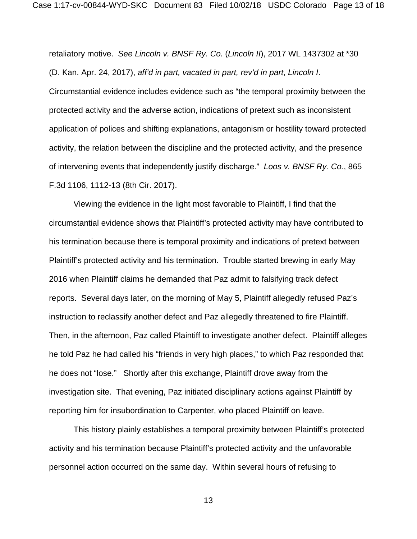retaliatory motive. *See Lincoln v. BNSF Ry. Co.* (*Lincoln II*), 2017 WL 1437302 at \*30 (D. Kan. Apr. 24, 2017), *aff'd in part, vacated in part, rev'd in part*, *Lincoln I*. Circumstantial evidence includes evidence such as "the temporal proximity between the protected activity and the adverse action, indications of pretext such as inconsistent application of polices and shifting explanations, antagonism or hostility toward protected activity, the relation between the discipline and the protected activity, and the presence of intervening events that independently justify discharge." *Loos v. BNSF Ry. Co.*, 865 F.3d 1106, 1112-13 (8th Cir. 2017).

Viewing the evidence in the light most favorable to Plaintiff, I find that the circumstantial evidence shows that Plaintiff's protected activity may have contributed to his termination because there is temporal proximity and indications of pretext between Plaintiff's protected activity and his termination. Trouble started brewing in early May 2016 when Plaintiff claims he demanded that Paz admit to falsifying track defect reports. Several days later, on the morning of May 5, Plaintiff allegedly refused Paz's instruction to reclassify another defect and Paz allegedly threatened to fire Plaintiff. Then, in the afternoon, Paz called Plaintiff to investigate another defect. Plaintiff alleges he told Paz he had called his "friends in very high places," to which Paz responded that he does not "lose." Shortly after this exchange, Plaintiff drove away from the investigation site. That evening, Paz initiated disciplinary actions against Plaintiff by reporting him for insubordination to Carpenter, who placed Plaintiff on leave.

This history plainly establishes a temporal proximity between Plaintiff's protected activity and his termination because Plaintiff's protected activity and the unfavorable personnel action occurred on the same day. Within several hours of refusing to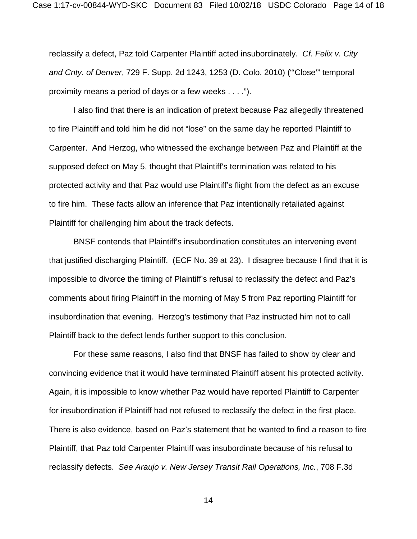reclassify a defect, Paz told Carpenter Plaintiff acted insubordinately. *Cf. Felix v. City and Cnty. of Denver*, 729 F. Supp. 2d 1243, 1253 (D. Colo. 2010) ("'Close'" temporal proximity means a period of days or a few weeks . . . .").

I also find that there is an indication of pretext because Paz allegedly threatened to fire Plaintiff and told him he did not "lose" on the same day he reported Plaintiff to Carpenter. And Herzog, who witnessed the exchange between Paz and Plaintiff at the supposed defect on May 5, thought that Plaintiff's termination was related to his protected activity and that Paz would use Plaintiff's flight from the defect as an excuse to fire him. These facts allow an inference that Paz intentionally retaliated against Plaintiff for challenging him about the track defects.

BNSF contends that Plaintiff's insubordination constitutes an intervening event that justified discharging Plaintiff. (ECF No. 39 at 23). I disagree because I find that it is impossible to divorce the timing of Plaintiff's refusal to reclassify the defect and Paz's comments about firing Plaintiff in the morning of May 5 from Paz reporting Plaintiff for insubordination that evening. Herzog's testimony that Paz instructed him not to call Plaintiff back to the defect lends further support to this conclusion.

For these same reasons, I also find that BNSF has failed to show by clear and convincing evidence that it would have terminated Plaintiff absent his protected activity. Again, it is impossible to know whether Paz would have reported Plaintiff to Carpenter for insubordination if Plaintiff had not refused to reclassify the defect in the first place. There is also evidence, based on Paz's statement that he wanted to find a reason to fire Plaintiff, that Paz told Carpenter Plaintiff was insubordinate because of his refusal to reclassify defects. *See Araujo v. New Jersey Transit Rail Operations, Inc.*, 708 F.3d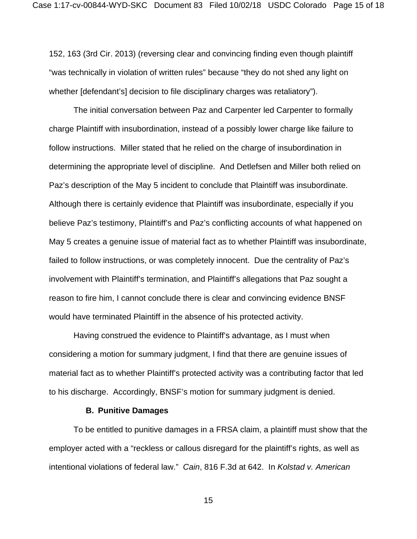152, 163 (3rd Cir. 2013) (reversing clear and convincing finding even though plaintiff "was technically in violation of written rules" because "they do not shed any light on whether [defendant's] decision to file disciplinary charges was retaliatory").

The initial conversation between Paz and Carpenter led Carpenter to formally charge Plaintiff with insubordination, instead of a possibly lower charge like failure to follow instructions. Miller stated that he relied on the charge of insubordination in determining the appropriate level of discipline. And Detlefsen and Miller both relied on Paz's description of the May 5 incident to conclude that Plaintiff was insubordinate. Although there is certainly evidence that Plaintiff was insubordinate, especially if you believe Paz's testimony, Plaintiff's and Paz's conflicting accounts of what happened on May 5 creates a genuine issue of material fact as to whether Plaintiff was insubordinate, failed to follow instructions, or was completely innocent. Due the centrality of Paz's involvement with Plaintiff's termination, and Plaintiff's allegations that Paz sought a reason to fire him, I cannot conclude there is clear and convincing evidence BNSF would have terminated Plaintiff in the absence of his protected activity.

Having construed the evidence to Plaintiff's advantage, as I must when considering a motion for summary judgment, I find that there are genuine issues of material fact as to whether Plaintiff's protected activity was a contributing factor that led to his discharge. Accordingly, BNSF's motion for summary judgment is denied.

#### **B. Punitive Damages**

To be entitled to punitive damages in a FRSA claim, a plaintiff must show that the employer acted with a "reckless or callous disregard for the plaintiff's rights, as well as intentional violations of federal law." *Cain*, 816 F.3d at 642. In *Kolstad v. American*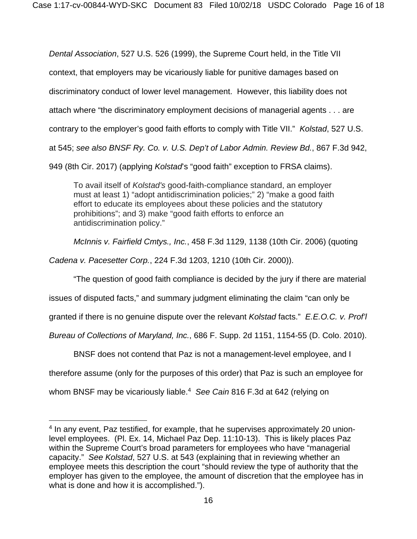*Dental Association*, 527 U.S. 526 (1999), the Supreme Court held, in the Title VII context, that employers may be vicariously liable for punitive damages based on discriminatory conduct of lower level management. However, this liability does not attach where "the discriminatory employment decisions of managerial agents . . . are contrary to the employer's good faith efforts to comply with Title VII." *Kolstad*, 527 U.S. at 545; *see also BNSF Ry. Co. v. U.S. Dep't of Labor Admin. Review Bd.*, 867 F.3d 942, 949 (8th Cir. 2017) (applying *Kolstad*'s "good faith" exception to FRSA claims).

To avail itself of *Kolstad's* good-faith-compliance standard, an employer must at least 1) "adopt antidiscrimination policies;" 2) "make a good faith effort to educate its employees about these policies and the statutory prohibitions"; and 3) make "good faith efforts to enforce an antidiscrimination policy."

*McInnis v. Fairfield Cmtys., Inc.*, 458 F.3d 1129, 1138 (10th Cir. 2006) (quoting

*Cadena v. Pacesetter Corp.*, 224 F.3d 1203, 1210 (10th Cir. 2000)).

"The question of good faith compliance is decided by the jury if there are material

issues of disputed facts," and summary judgment eliminating the claim "can only be

granted if there is no genuine dispute over the relevant *Kolstad* facts." *E.E.O.C. v. Prof'l* 

*Bureau of Collections of Maryland, Inc.*, 686 F. Supp. 2d 1151, 1154-55 (D. Colo. 2010).

BNSF does not contend that Paz is not a management-level employee, and I

therefore assume (only for the purposes of this order) that Paz is such an employee for

whom BNSF may be vicariously liable.4 *See Cain* 816 F.3d at 642 (relying on

<sup>4</sup> In any event, Paz testified, for example, that he supervises approximately 20 unionlevel employees. (Pl. Ex. 14, Michael Paz Dep. 11:10-13). This is likely places Paz within the Supreme Court's broad parameters for employees who have "managerial capacity." *See Kolstad*, 527 U.S. at 543 (explaining that in reviewing whether an employee meets this description the court "should review the type of authority that the employer has given to the employee, the amount of discretion that the employee has in what is done and how it is accomplished.").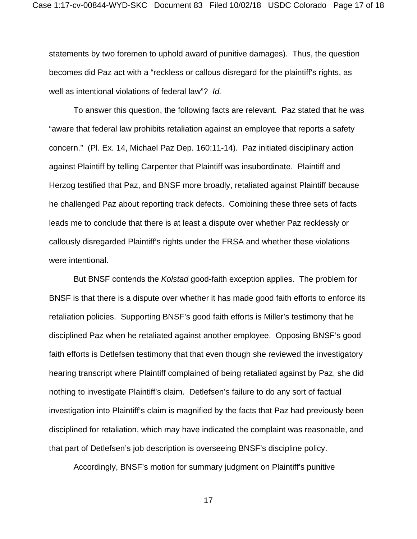statements by two foremen to uphold award of punitive damages). Thus, the question becomes did Paz act with a "reckless or callous disregard for the plaintiff's rights, as well as intentional violations of federal law"? *Id.*

To answer this question, the following facts are relevant. Paz stated that he was "aware that federal law prohibits retaliation against an employee that reports a safety concern." (Pl. Ex. 14, Michael Paz Dep. 160:11-14). Paz initiated disciplinary action against Plaintiff by telling Carpenter that Plaintiff was insubordinate. Plaintiff and Herzog testified that Paz, and BNSF more broadly, retaliated against Plaintiff because he challenged Paz about reporting track defects. Combining these three sets of facts leads me to conclude that there is at least a dispute over whether Paz recklessly or callously disregarded Plaintiff's rights under the FRSA and whether these violations were intentional.

But BNSF contends the *Kolstad* good-faith exception applies. The problem for BNSF is that there is a dispute over whether it has made good faith efforts to enforce its retaliation policies. Supporting BNSF's good faith efforts is Miller's testimony that he disciplined Paz when he retaliated against another employee. Opposing BNSF's good faith efforts is Detlefsen testimony that that even though she reviewed the investigatory hearing transcript where Plaintiff complained of being retaliated against by Paz, she did nothing to investigate Plaintiff's claim. Detlefsen's failure to do any sort of factual investigation into Plaintiff's claim is magnified by the facts that Paz had previously been disciplined for retaliation, which may have indicated the complaint was reasonable, and that part of Detlefsen's job description is overseeing BNSF's discipline policy.

Accordingly, BNSF's motion for summary judgment on Plaintiff's punitive